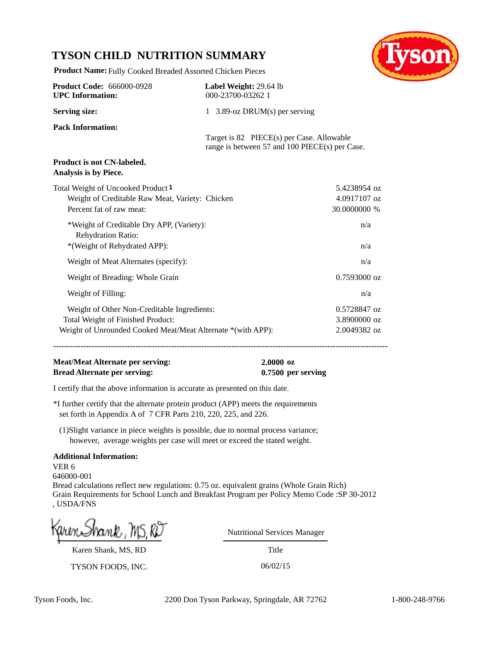## **TYSON CHILD NUTRITION SUMMARY**



**Product Name:** Fully Cooked Breaded Assorted Chicken Pieces

| <b>Product Code: 666000-0928</b><br><b>UPC</b> Information:                                                                                     | Label Weight: 29.64 lb<br>000-23700-03262 1                                                 |                                              |  |
|-------------------------------------------------------------------------------------------------------------------------------------------------|---------------------------------------------------------------------------------------------|----------------------------------------------|--|
| <b>Serving size:</b>                                                                                                                            | 1 3.89-oz DRUM $(s)$ per serving                                                            |                                              |  |
| <b>Pack Information:</b>                                                                                                                        | Target is 82 PIECE(s) per Case. Allowable<br>range is between 57 and 100 PIECE(s) per Case. |                                              |  |
| <b>Product is not CN-labeled.</b><br>Analysis is by Piece.                                                                                      |                                                                                             |                                              |  |
| Total Weight of Uncooked Product <sup>1</sup><br>Weight of Creditable Raw Meat, Variety: Chicken<br>Percent fat of raw meat:                    |                                                                                             | 5.4238954 oz<br>4.0917107 oz<br>30.0000000 % |  |
| *Weight of Creditable Dry APP, (Variety):<br>Rehydration Ratio:<br>*(Weight of Rehydrated APP):                                                 |                                                                                             | n/a<br>n/a                                   |  |
| Weight of Meat Alternates (specify):                                                                                                            |                                                                                             | n/a                                          |  |
| Weight of Breading: Whole Grain                                                                                                                 |                                                                                             | $0.7593000$ oz                               |  |
| Weight of Filling:                                                                                                                              |                                                                                             | n/a                                          |  |
| Weight of Other Non-Creditable Ingredients:<br>Total Weight of Finished Product:<br>Weight of Unrounded Cooked Meat/Meat Alternate *(with APP): |                                                                                             | 0.5728847 oz<br>3.8900000 oz<br>2.0049382 oz |  |

**--------------------------------------------------------------------------------------------------------------------------**

## **Meat/Meat Alternate per serving: 2.0000 oz Bread Alternate per serving: 0.7500 per serving**

I certify that the above information is accurate as presented on this date.

\*I further certify that the alternate protein product (APP) meets the requirements set forth in Appendix A of 7 CFR Parts 210, 220, 225, and 226.

 (1)Slight variance in piece weights is possible, due to normal process variance; however, average weights per case will meet or exceed the stated weight.

## **Additional Information:**

VER 6 646000-001 Bread calculations reflect new regulations: 0.75 oz. equivalent grains (Whole Grain Rich) Grain Requirements for School Lunch and Breakfast Program per Policy Memo Code :SP 30-2012 , USDA/FNS

Karen Shank, MS, RD

TYSON FOODS, INC. 06/02/15

Nutritional Services Manager

Title

Tyson Foods, Inc. 2200 Don Tyson Parkway, Springdale, AR 72762 1-800-248-9766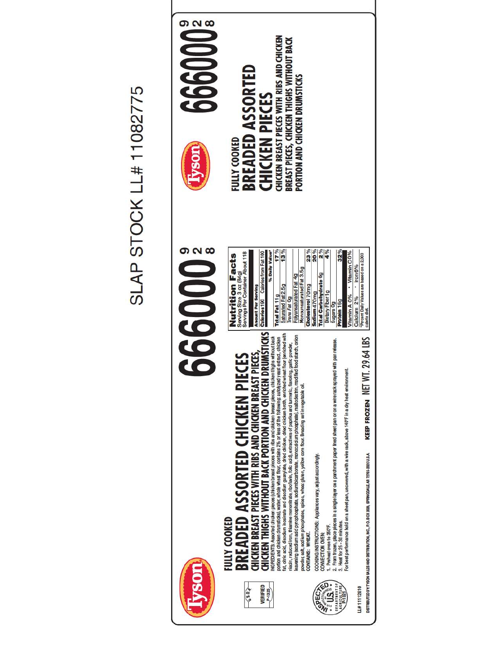